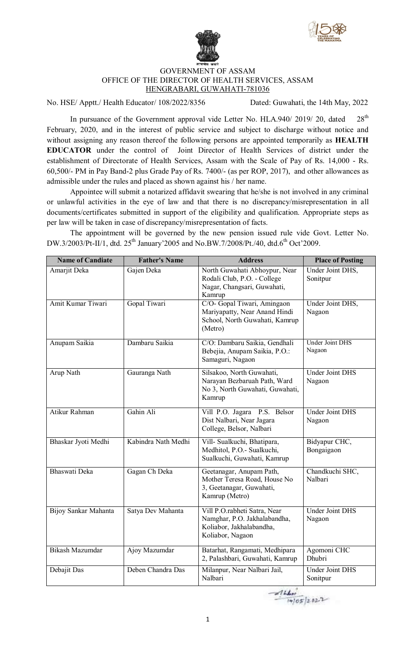



## GOVERNMENT OF ASSAM OFFICE OF THE DIRECTOR OF HEALTH SERVICES, ASSAM HENGRABARI, GUWAHATI-781036

No. HSE/ Apptt./ Health Educator/ 108/2022/8356 Dated: Guwahati, the 14th May, 2022

In pursuance of the Government approval vide Letter No. HLA.940/ 2019/ 20, dated  $28<sup>th</sup>$ February, 2020, and in the interest of public service and subject to discharge without notice and without assigning any reason thereof the following persons are appointed temporarily as **HEALTH EDUCATOR** under the control of Joint Director of Health Services of district under the establishment of Directorate of Health Services, Assam with the Scale of Pay of Rs. 14,000 - Rs. 60,500/- PM in Pay Band-2 plus Grade Pay of Rs. 7400/- (as per ROP, 2017), and other allowances as admissible under the rules and placed as shown against his / her name.

Appointee will submit a notarized affidavit swearing that he/she is not involved in any criminal or unlawful activities in the eye of law and that there is no discrepancy/misrepresentation in all documents/certificates submitted in support of the eligibility and qualification. Appropriate steps as per law will be taken in case of discrepancy/misrepresentation of facts.

The appointment will be governed by the new pension issued rule vide Govt. Letter No. DW.3/2003/Pt-II/1, dtd. 25<sup>th</sup> January'2005 and No.BW.7/2008/Pt./40, dtd.6<sup>th</sup> Oct'2009.

| <b>Name of Candiate</b> | <b>Father's Name</b> | <b>Address</b>                                                                                               | <b>Place of Posting</b>            |
|-------------------------|----------------------|--------------------------------------------------------------------------------------------------------------|------------------------------------|
| Amarjit Deka            | Gajen Deka           | North Guwahati Abhoypur, Near<br>Rodali Club, P.O. - College<br>Nagar, Changsari, Guwahati,<br>Kamrup        | Under Joint DHS,<br>Sonitpur       |
| Amit Kumar Tiwari       | Gopal Tiwari         | C/O- Gopal Tiwari, Amingaon<br>Mariyapatty, Near Anand Hindi<br>School, North Guwahati, Kamrup<br>(Metro)    | Under Joint DHS,<br>Nagaon         |
| Anupam Saikia           | Dambaru Saikia       | C/O: Dambaru Saikia, Gendhali<br>Bebejia, Anupam Saikia, P.O.:<br>Samaguri, Nagaon                           | <b>Under Joint DHS</b><br>Nagaon   |
| Arup Nath               | Gauranga Nath        | Silsakoo, North Guwahati,<br>Narayan Bezbaruah Path, Ward<br>No 3, North Guwahati, Guwahati,<br>Kamrup       | <b>Under Joint DHS</b><br>Nagaon   |
| Atikur Rahman           | Gahin Ali            | Vill P.O. Jagara P.S. Belsor<br>Dist Nalbari, Near Jagara<br>College, Belsor, Nalbari                        | <b>Under Joint DHS</b><br>Nagaon   |
| Bhaskar Jyoti Medhi     | Kabindra Nath Medhi  | Vill- Sualkuchi, Bhatipara,<br>Medhitol, P.O.- Sualkuchi,<br>Sualkuchi, Guwahati, Kamrup                     | Bidyapur CHC,<br>Bongaigaon        |
| Bhaswati Deka           | Gagan Ch Deka        | Geetanagar, Anupam Path,<br>Mother Teresa Road, House No<br>3, Geetanagar, Guwahati,<br>Kamrup (Metro)       | Chandkuchi SHC,<br>Nalbari         |
| Bijoy Sankar Mahanta    | Satya Dev Mahanta    | Vill P.O.rabheti Satra, Near<br>Namghar, P.O. Jakhalabandha,<br>Koliabor, Jakhalabandha,<br>Koliabor, Nagaon | <b>Under Joint DHS</b><br>Nagaon   |
| Bikash Mazumdar         | Ajoy Mazumdar        | Batarhat, Rangamati, Medhipara<br>2, Palashbari, Guwahati, Kamrup                                            | Agomoni CHC<br><b>Dhubri</b>       |
| Debajit Das             | Deben Chandra Das    | Milanpur, Near Nalbari Jail,<br>Nalbari                                                                      | <b>Under Joint DHS</b><br>Sonitpur |

 $74405/2822$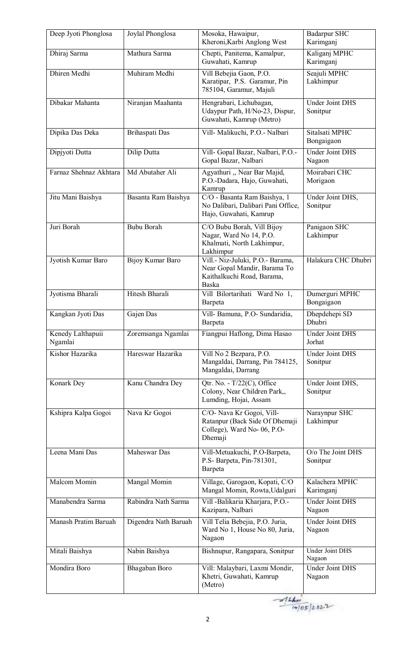| Deep Jyoti Phonglosa         | Joylal Phonglosa     | Mosoka, Hawaipur,<br>Kheroni, Karbi Anglong West                                                        | <b>Badarpur SHC</b><br>Karimganj           |
|------------------------------|----------------------|---------------------------------------------------------------------------------------------------------|--------------------------------------------|
| Dhiraj Sarma                 | Mathura Sarma        | Chepti, Panitema, Kamalpur,<br>Guwahati, Kamrup                                                         | Kaliganj MPHC<br>Karimganj                 |
| Dhiren Medhi                 | Muhiram Medhi        | Vill Bebejia Gaon, P.O.<br>Karatipar, P.S. Garamur, Pin<br>785104, Garamur, Majuli                      | Seajuli MPHC<br>Lakhimpur                  |
| Dibakar Mahanta              | Niranjan Maahanta    | Hengrabari, Lichubagan,<br>Udaypur Path, H/No-23, Dispur,<br>Guwahati, Kamrup (Metro)                   | <b>Under Joint DHS</b><br>Sonitpur         |
| Dipika Das Deka              | Brihaspati Das       | Vill- Malikuchi, P.O.- Nalbari                                                                          | Sitalsati MPHC<br>Bongaigaon               |
| Dipjyoti Dutta               | Dilip Dutta          | Vill- Gopal Bazar, Nalbari, P.O.-<br>Gopal Bazar, Nalbari                                               | <b>Under Joint DHS</b><br>Nagaon           |
| Farnaz Shehnaz Akhtara       | Md Abutaher Ali      | Agyathuri "Near Bar Majid,<br>P.O.-Dadara, Hajo, Guwahati,<br>Kamrup                                    | Moirabari CHC<br>Morigaon                  |
| Jitu Mani Baishya            | Basanta Ram Baishya  | C/O - Basanta Ram Baishya, 1<br>No Dalibari, Dalibari Pani Office,<br>Hajo, Guwahati, Kamrup            | Under Joint DHS,<br>Sonitpur               |
| Juri Borah                   | <b>Bubu Borah</b>    | C/O Bubu Borah, Vill Bijoy<br>Nagar, Ward No 14, P.O.<br>Khalmati, North Lakhimpur,<br>Lakhimpur        | Panigaon SHC<br>Lakhimpur                  |
| Jyotish Kumar Baro           | Bijoy Kumar Baro     | Vill.- Niz-Juluki, P.O.- Barama,<br>Near Gopal Mandir, Barama To<br>Kaithalkuchi Road, Barama,<br>Baska | Halakura CHC Dhubri                        |
| Jyotisma Bharali             | Hitesh Bharali       | Vill Bilortarihati Ward No 1,<br>Barpeta                                                                | Dumerguri MPHC<br>Bongaigaon               |
| Kangkan Jyoti Das            | Gajen Das            | Vill- Bamuna, P.O- Sundaridia,<br>Barpeta                                                               | Dhepdehepi SD<br>Dhubri                    |
| Kenedy Lalthapuii<br>Ngamlai | Zoremsanga Ngamlai   | Fiangpui Haflong, Dima Hasao                                                                            | <b>Under Joint DHS</b><br>Jorhat           |
| Kishor Hazarika              | Hareswar Hazarika    | Vill No 2 Bezpara, P.O.<br>Mangaldai, Darrang, Pin 784125,<br>Mangaldai, Darrang                        | <b>Under Joint DHS</b><br>Sonitpur         |
| Konark Dey                   | Kanu Chandra Dey     | Qtr. No. - $T/22(C)$ , Office<br>Colony, Near Children Park,,<br>Lumding, Hojai, Assam                  | Under Joint DHS,<br>Sonitpur               |
| Kshipra Kalpa Gogoi          | Nava Kr Gogoi        | C/O- Nava Kr Gogoi, Vill-<br>Ratanpur (Back Side Of Dhemaji<br>College), Ward No- 06, P.O-<br>Dhemaji   | Naraynpur SHC<br>Lakhimpur                 |
| Leena Mani Das               | Maheswar Das         | Vill-Metuakuchi, P.O-Barpeta,<br>P.S- Barpeta, Pin-781301,<br>Barpeta                                   | $\overline{O/O}$ The Joint DHS<br>Sonitpur |
| Malcom Momin                 | Mangal Momin         | Village, Garogaon, Kopati, C/O<br>Mangal Momin, Rowta, Udalguri                                         | Kalachera MPHC<br>Karimganj                |
| Manabendra Sarma             | Rabindra Nath Sarma  | Vill - Balikaria Kharjara, P.O.-<br>Kazipara, Nalbari                                                   | <b>Under Joint DHS</b><br>Nagaon           |
| Manash Pratim Baruah         | Digendra Nath Baruah | Vill Telia Bebejia, P.O. Juria,<br>Ward No 1, House No 80, Juria,<br>Nagaon                             | <b>Under Joint DHS</b><br>Nagaon           |
| Mitali Baishya               | Nabin Baishya        | Bishnupur, Rangapara, Sonitpur                                                                          | <b>Under Joint DHS</b><br>Nagaon           |
| Mondira Boro                 | Bhagaban Boro        | Vill: Malaybari, Laxmi Mondir,<br>Khetri, Guwahati, Kamrup<br>(Metro)                                   | Under Joint DHS<br>Nagaon                  |

 $-1440$ <br>(4/05/2022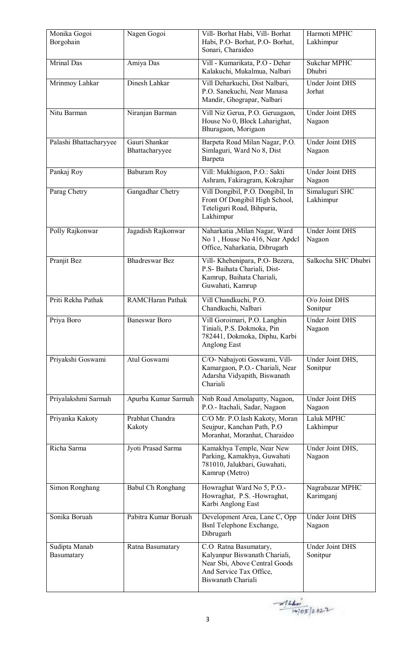| Monika Gogoi<br>Borgohain   | Nagen Gogoi                     | Vill- Borhat Habi, Vill- Borhat<br>Habi, P.O- Borhat, P.O- Borhat,<br>Sonari, Charaideo                                                  | Harmoti MPHC<br>Lakhimpur            |
|-----------------------------|---------------------------------|------------------------------------------------------------------------------------------------------------------------------------------|--------------------------------------|
| Mrinal Das                  | Amiya Das                       | Vill - Kumarikata, P.O - Dehar<br>Kalakuchi, Mukalmua, Nalbari                                                                           | <b>Sukchar MPHC</b><br><b>Dhubri</b> |
| Mrinmoy Lahkar              | Dinesh Lahkar                   | Vill Deharkuchi, Dist Nalbari,<br>P.O. Sanekuchi, Near Manasa<br>Mandir, Ghograpar, Nalbari                                              | <b>Under Joint DHS</b><br>Jorhat     |
| Nitu Barman                 | Niranjan Barman                 | Vill Niz Gerua, P.O. Geruagaon,<br>House No 0, Block Laharighat,<br>Bhuragaon, Morigaon                                                  | <b>Under Joint DHS</b><br>Nagaon     |
| Palashi Bhattacharyyee      | Gauri Shankar<br>Bhattacharyyee | Barpeta Road Milan Nagar, P.O.<br>Simlaguri, Ward No 8, Dist<br>Barpeta                                                                  | <b>Under Joint DHS</b><br>Nagaon     |
| Pankaj Roy                  | Baburam Roy                     | Vill: Mukhigaon, P.O.: Sakti<br>Ashram, Fakiragram, Kokrajhar                                                                            | <b>Under Joint DHS</b><br>Nagaon     |
| Parag Chetry                | Gangadhar Chetry                | Vill Dongibil, P.O. Dongibil, In<br>Front Of Dongibil High School,<br>Teteliguri Road, Bihpuria,<br>Lakhimpur                            | Simaluguri SHC<br>Lakhimpur          |
| Polly Rajkonwar             | Jagadish Rajkonwar              | Naharkatia , Milan Nagar, Ward<br>No 1, House No 416, Near Apdcl<br>Office, Naharkatia, Dibrugarh                                        | <b>Under Joint DHS</b><br>Nagaon     |
| Pranjit Bez                 | <b>Bhadreswar Bez</b>           | Vill- Khehenipara, P.O- Bezera,<br>P.S- Baihata Chariali, Dist-<br>Kamrup, Baihata Chariali,<br>Guwahati, Kamrup                         | Salkocha SHC Dhubri                  |
| Priti Rekha Pathak          | <b>RAMCHaran Pathak</b>         | Vill Chandkuchi, P.O.<br>Chandkuchi, Nalbari                                                                                             | O/o Joint DHS<br>Sonitpur            |
| Priya Boro                  | <b>Baneswar Boro</b>            | Vill Goroimari, P.O. Langhin<br>Tiniali, P.S. Dokmoka, Pin<br>782441, Dokmoka, Diphu, Karbi<br>Anglong East                              | <b>Under Joint DHS</b><br>Nagaon     |
| Priyakshi Goswami           | Atul Goswami                    | C/O- Nabajyoti Goswami, Vill-<br>Kamargaon, P.O.- Chariali, Near<br>Adarsha Vidyapith, Biswanath<br>Chariali                             | Under Joint DHS,<br>Sonitpur         |
| Priyalakshmi Sarmah         | Apurba Kumar Sarmah             | Nnb Road Amolapatty, Nagaon,<br>P.O.- Itachali, Sadar, Nagaon                                                                            | <b>Under Joint DHS</b><br>Nagaon     |
| Priyanka Kakoty             | Prabhat Chandra<br>Kakoty       | C/O Mr. P.O.lash Kakoty, Moran<br>Seujpur, Kanchan Path, P.O.<br>Moranhat, Moranhat, Charaideo                                           | Laluk MPHC<br>Lakhimpur              |
| Richa Sarma                 | Jyoti Prasad Sarma              | Kamakhya Temple, Near New<br>Parking, Kamakhya, Guwahati<br>781010, Jalukbari, Guwahati,<br>Kamrup (Metro)                               | Under Joint DHS,<br>Nagaon           |
| Simon Ronghang              | Babul Ch Ronghang               | Howraghat Ward No 5, P.O.-<br>Howraghat, P.S. -Howraghat,<br>Karbi Anglong East                                                          | Nagrabazar MPHC<br>Karimganj         |
| Sonika Boruah               | Pabitra Kumar Boruah            | Development Area, Lane C, Opp<br><b>Bsnl Telephone Exchange,</b><br>Dibrugarh                                                            | <b>Under Joint DHS</b><br>Nagaon     |
| Sudipta Manab<br>Basumatary | Ratna Basumatary                | C.O Ratna Basumatary,<br>Kalyanpur Biswanath Chariali,<br>Near Sbi, Above Central Goods<br>And Service Tax Office,<br>Biswanath Chariali | <b>Under Joint DHS</b><br>Sonitpur   |

 $-444...$ <br>(4)05/2022